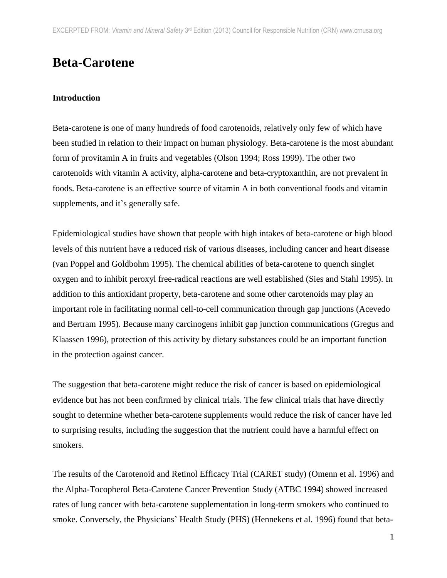# **Beta-Carotene**

## **Introduction**

Beta-carotene is one of many hundreds of food carotenoids, relatively only few of which have been studied in relation to their impact on human physiology. Beta-carotene is the most abundant form of provitamin A in fruits and vegetables (Olson 1994; Ross 1999). The other two carotenoids with vitamin A activity, alpha-carotene and beta-cryptoxanthin, are not prevalent in foods. Beta-carotene is an effective source of vitamin A in both conventional foods and vitamin supplements, and it's generally safe.

Epidemiological studies have shown that people with high intakes of beta-carotene or high blood levels of this nutrient have a reduced risk of various diseases, including cancer and heart disease (van Poppel and Goldbohm 1995). The chemical abilities of beta-carotene to quench singlet oxygen and to inhibit peroxyl free-radical reactions are well established (Sies and Stahl 1995). In addition to this antioxidant property, beta-carotene and some other carotenoids may play an important role in facilitating normal cell-to-cell communication through gap junctions (Acevedo and Bertram 1995). Because many carcinogens inhibit gap junction communications (Gregus and Klaassen 1996), protection of this activity by dietary substances could be an important function in the protection against cancer.

The suggestion that beta-carotene might reduce the risk of cancer is based on epidemiological evidence but has not been confirmed by clinical trials. The few clinical trials that have directly sought to determine whether beta-carotene supplements would reduce the risk of cancer have led to surprising results, including the suggestion that the nutrient could have a harmful effect on smokers.

The results of the Carotenoid and Retinol Efficacy Trial (CARET study) (Omenn et al. 1996) and the Alpha-Tocopherol Beta-Carotene Cancer Prevention Study (ATBC 1994) showed increased rates of lung cancer with beta-carotene supplementation in long-term smokers who continued to smoke. Conversely, the Physicians' Health Study (PHS) (Hennekens et al. 1996) found that beta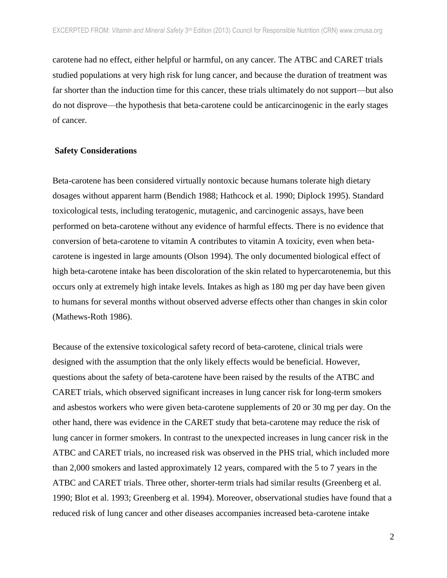carotene had no effect, either helpful or harmful, on any cancer. The ATBC and CARET trials studied populations at very high risk for lung cancer, and because the duration of treatment was far shorter than the induction time for this cancer, these trials ultimately do not support—but also do not disprove—the hypothesis that beta-carotene could be anticarcinogenic in the early stages of cancer.

#### **Safety Considerations**

Beta-carotene has been considered virtually nontoxic because humans tolerate high dietary dosages without apparent harm (Bendich 1988; Hathcock et al. 1990; Diplock 1995). Standard toxicological tests, including teratogenic, mutagenic, and carcinogenic assays, have been performed on beta-carotene without any evidence of harmful effects. There is no evidence that conversion of beta-carotene to vitamin A contributes to vitamin A toxicity, even when betacarotene is ingested in large amounts (Olson 1994). The only documented biological effect of high beta-carotene intake has been discoloration of the skin related to hypercarotenemia, but this occurs only at extremely high intake levels. Intakes as high as 180 mg per day have been given to humans for several months without observed adverse effects other than changes in skin color (Mathews-Roth 1986).

Because of the extensive toxicological safety record of beta-carotene, clinical trials were designed with the assumption that the only likely effects would be beneficial. However, questions about the safety of beta-carotene have been raised by the results of the ATBC and CARET trials, which observed significant increases in lung cancer risk for long-term smokers and asbestos workers who were given beta-carotene supplements of 20 or 30 mg per day. On the other hand, there was evidence in the CARET study that beta-carotene may reduce the risk of lung cancer in former smokers. In contrast to the unexpected increases in lung cancer risk in the ATBC and CARET trials, no increased risk was observed in the PHS trial, which included more than 2,000 smokers and lasted approximately 12 years, compared with the 5 to 7 years in the ATBC and CARET trials. Three other, shorter-term trials had similar results (Greenberg et al. 1990; Blot et al. 1993; Greenberg et al. 1994). Moreover, observational studies have found that a reduced risk of lung cancer and other diseases accompanies increased beta-carotene intake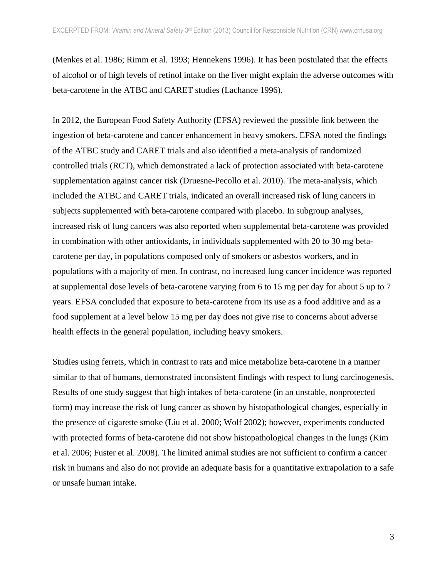(Menkes et al. 1986; Rimm et al. 1993; Hennekens 1996). It has been postulated that the effects of alcohol or of high levels of retinol intake on the liver might explain the adverse outcomes with beta-carotene in the ATBC and CARET studies (Lachance 1996).

In 2012, the European Food Safety Authority (EFSA) reviewed the possible link between the ingestion of beta-carotene and cancer enhancement in heavy smokers. EFSA noted the findings of the ATBC study and CARET trials and also identified a meta-analysis of randomized controlled trials (RCT), which demonstrated a lack of protection associated with beta-carotene supplementation against cancer risk (Druesne-Pecollo et al. 2010). The meta-analysis, which included the ATBC and CARET trials, indicated an overall increased risk of lung cancers in subjects supplemented with beta-carotene compared with placebo. In subgroup analyses, increased risk of lung cancers was also reported when supplemental beta-carotene was provided in combination with other antioxidants, in individuals supplemented with 20 to 30 mg betacarotene per day, in populations composed only of smokers or asbestos workers, and in populations with a majority of men. In contrast, no increased lung cancer incidence was reported at supplemental dose levels of beta-carotene varying from 6 to 15 mg per day for about 5 up to 7 years. EFSA concluded that exposure to beta-carotene from its use as a food additive and as a food supplement at a level below 15 mg per day does not give rise to concerns about adverse health effects in the general population, including heavy smokers.

Studies using ferrets, which in contrast to rats and mice metabolize beta-carotene in a manner similar to that of humans, demonstrated inconsistent findings with respect to lung carcinogenesis. Results of one study suggest that high intakes of beta-carotene (in an unstable, nonprotected form) may increase the risk of lung cancer as shown by histopathological changes, especially in the presence of cigarette smoke (Liu et al. 2000; Wolf 2002); however, experiments conducted with protected forms of beta-carotene did not show histopathological changes in the lungs (Kim et al. 2006; Fuster et al. 2008). The limited animal studies are not sufficient to confirm a cancer risk in humans and also do not provide an adequate basis for a quantitative extrapolation to a safe or unsafe human intake.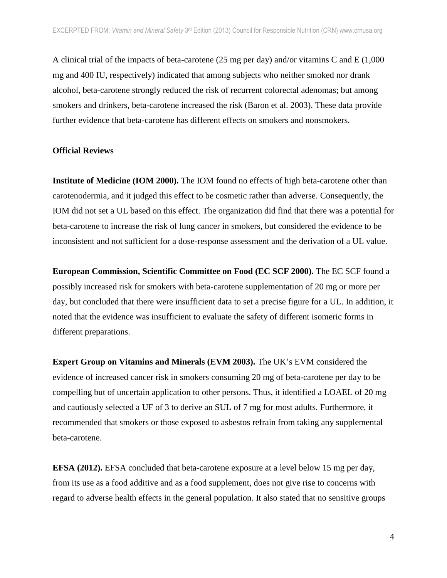A clinical trial of the impacts of beta-carotene (25 mg per day) and/or vitamins C and E (1,000 mg and 400 IU, respectively) indicated that among subjects who neither smoked nor drank alcohol, beta-carotene strongly reduced the risk of recurrent colorectal adenomas; but among smokers and drinkers, beta-carotene increased the risk (Baron et al. 2003). These data provide further evidence that beta-carotene has different effects on smokers and nonsmokers.

#### **Official Reviews**

**Institute of Medicine (IOM 2000).** The IOM found no effects of high beta-carotene other than carotenodermia, and it judged this effect to be cosmetic rather than adverse. Consequently, the IOM did not set a UL based on this effect. The organization did find that there was a potential for beta-carotene to increase the risk of lung cancer in smokers, but considered the evidence to be inconsistent and not sufficient for a dose-response assessment and the derivation of a UL value.

**European Commission, Scientific Committee on Food (EC SCF 2000).** The EC SCF found a possibly increased risk for smokers with beta-carotene supplementation of 20 mg or more per day, but concluded that there were insufficient data to set a precise figure for a UL. In addition, it noted that the evidence was insufficient to evaluate the safety of different isomeric forms in different preparations.

**Expert Group on Vitamins and Minerals (EVM 2003).** The UK's EVM considered the evidence of increased cancer risk in smokers consuming 20 mg of beta-carotene per day to be compelling but of uncertain application to other persons. Thus, it identified a LOAEL of 20 mg and cautiously selected a UF of 3 to derive an SUL of 7 mg for most adults. Furthermore, it recommended that smokers or those exposed to asbestos refrain from taking any supplemental beta-carotene.

**EFSA (2012).** EFSA concluded that beta-carotene exposure at a level below 15 mg per day, from its use as a food additive and as a food supplement, does not give rise to concerns with regard to adverse health effects in the general population. It also stated that no sensitive groups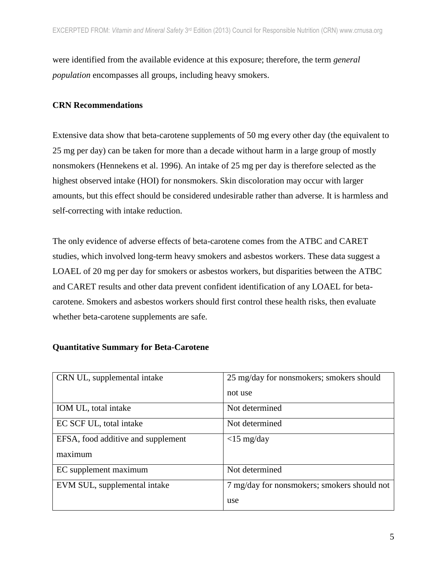were identified from the available evidence at this exposure; therefore, the term *general population* encompasses all groups, including heavy smokers.

## **CRN Recommendations**

Extensive data show that beta-carotene supplements of 50 mg every other day (the equivalent to 25 mg per day) can be taken for more than a decade without harm in a large group of mostly nonsmokers (Hennekens et al. 1996). An intake of 25 mg per day is therefore selected as the highest observed intake (HOI) for nonsmokers. Skin discoloration may occur with larger amounts, but this effect should be considered undesirable rather than adverse. It is harmless and self-correcting with intake reduction.

The only evidence of adverse effects of beta-carotene comes from the ATBC and CARET studies, which involved long-term heavy smokers and asbestos workers. These data suggest a LOAEL of 20 mg per day for smokers or asbestos workers, but disparities between the ATBC and CARET results and other data prevent confident identification of any LOAEL for betacarotene. Smokers and asbestos workers should first control these health risks, then evaluate whether beta-carotene supplements are safe.

## **Quantitative Summary for Beta-Carotene**

| CRN UL, supplemental intake        | 25 mg/day for nonsmokers; smokers should    |
|------------------------------------|---------------------------------------------|
|                                    | not use                                     |
| IOM UL, total intake               | Not determined                              |
| EC SCF UL, total intake            | Not determined                              |
| EFSA, food additive and supplement | $<$ 15 mg/day                               |
| maximum                            |                                             |
| EC supplement maximum              | Not determined                              |
| EVM SUL, supplemental intake       | 7 mg/day for nonsmokers; smokers should not |
|                                    | use                                         |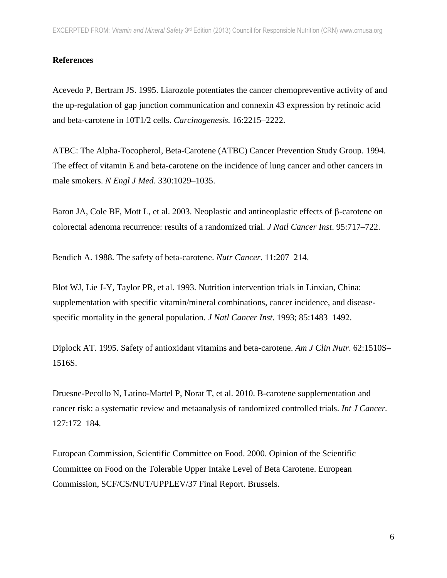# **References**

Acevedo P, Bertram JS. 1995. Liarozole potentiates the cancer chemopreventive activity of and the up-regulation of gap junction communication and connexin 43 expression by retinoic acid and beta-carotene in 10T1/2 cells. *Carcinogenesis.* 16:2215–2222.

ATBC: The Alpha-Tocopherol, Beta-Carotene (ATBC) Cancer Prevention Study Group. 1994. The effect of vitamin E and beta-carotene on the incidence of lung cancer and other cancers in male smokers. *N Engl J Med*. 330:1029–1035.

Baron JA, Cole BF, Mott L, et al. 2003. Neoplastic and antineoplastic effects of  $\beta$ -carotene on colorectal adenoma recurrence: results of a randomized trial. *J Natl Cancer Inst*. 95:717–722.

Bendich A. 1988. The safety of beta-carotene. *Nutr Cancer*. 11:207–214.

Blot WJ, Lie J-Y, Taylor PR, et al. 1993. Nutrition intervention trials in Linxian, China: supplementation with specific vitamin/mineral combinations, cancer incidence, and diseasespecific mortality in the general population. *J Natl Cancer Inst*. 1993; 85:1483–1492.

Diplock AT. 1995. Safety of antioxidant vitamins and beta-carotene. *Am J Clin Nutr*. 62:1510S– 1516S.

Druesne-Pecollo N, Latino-Martel P, Norat T, et al. 2010. Β-carotene supplementation and cancer risk: a systematic review and metaanalysis of randomized controlled trials. *Int J Cancer.* 127:172–184.

European Commission, Scientific Committee on Food. 2000. Opinion of the Scientific Committee on Food on the Tolerable Upper Intake Level of Beta Carotene. European Commission, SCF/CS/NUT/UPPLEV/37 Final Report. Brussels.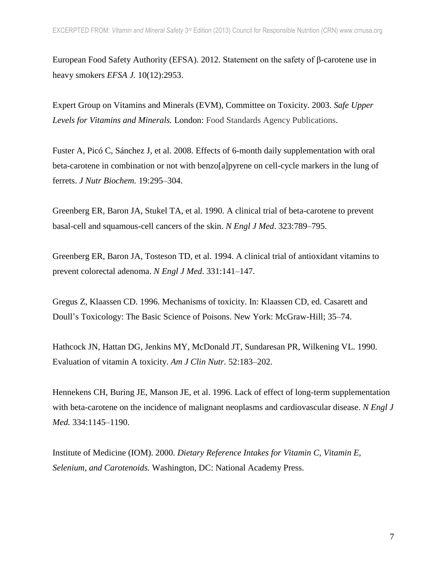European Food Safety Authority (EFSA). 2012. Statement on the safety of β-carotene use in heavy smokers *EFSA J.* 10(12):2953.

Expert Group on Vitamins and Minerals (EVM), Committee on Toxicity. 2003. *Safe Upper Levels for Vitamins and Minerals.* London: Food Standards Agency Publications.

Fuster A, Picó C, Sánchez J, et al. 2008. Effects of 6-month daily supplementation with oral beta-carotene in combination or not with benzo[a]pyrene on cell-cycle markers in the lung of ferrets. *J Nutr Biochem.* 19:295–304.

Greenberg ER, Baron JA, Stukel TA, et al. 1990. A clinical trial of beta-carotene to prevent basal-cell and squamous-cell cancers of the skin. *N Engl J Med*. 323:789–795.

Greenberg ER, Baron JA, Tosteson TD, et al. 1994. A clinical trial of antioxidant vitamins to prevent colorectal adenoma. *N Engl J Med*. 331:141–147.

Gregus Z, Klaassen CD. 1996. Mechanisms of toxicity. In: Klaassen CD, ed. Casarett and Doull's Toxicology: The Basic Science of Poisons. New York: McGraw-Hill; 35–74.

Hathcock JN, Hattan DG, Jenkins MY, McDonald JT, Sundaresan PR, Wilkening VL. 1990. Evaluation of vitamin A toxicity. *Am J Clin Nutr.* 52:183–202.

Hennekens CH, Buring JE, Manson JE, et al. 1996. Lack of effect of long-term supplementation with beta-carotene on the incidence of malignant neoplasms and cardiovascular disease. *N Engl J Med.* 334:1145–1190.

Institute of Medicine (IOM). 2000. *Dietary Reference Intakes for Vitamin C, Vitamin E, Selenium, and Carotenoids.* Washington, DC: National Academy Press.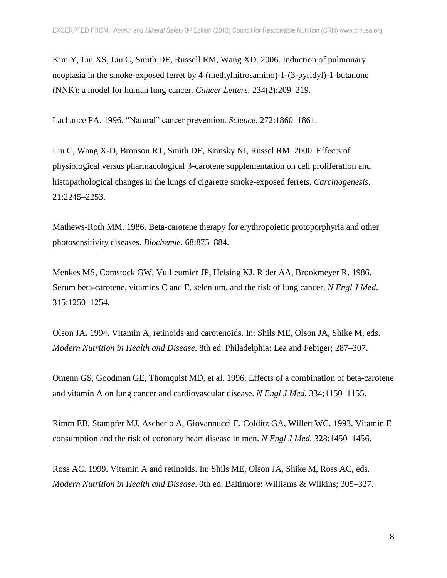Kim Y, Liu XS, Liu C, Smith DE, Russell RM, Wang XD. 2006. Induction of pulmonary neoplasia in the smoke-exposed ferret by 4-(methylnitrosamino)-1-(3-pyridyl)-1-butanone (NNK): a model for human lung cancer. *Cancer Letters.* 234(2):209–219.

Lachance PA. 1996. "Natural" cancer prevention. *Science*. 272:1860–1861.

Liu C, Wang X-D, Bronson RT, Smith DE, Krinsky NI, Russel RM. 2000. Effects of physiological versus pharmacological  $\beta$ -carotene supplementation on cell proliferation and histopathological changes in the lungs of cigarette smoke-exposed ferrets. *Carcinogenesis*. 21:2245–2253.

Mathews-Roth MM. 1986. Beta-carotene therapy for erythropoietic protoporphyria and other photosensitivity diseases. *Biochemie*. 68:875–884.

Menkes MS, Comstock GW, Vuilleumier JP, Helsing KJ, Rider AA, Brookmeyer R. 1986. Serum beta-carotene, vitamins C and E, selenium, and the risk of lung cancer. *N Engl J Med*. 315:1250–1254.

Olson JA. 1994. Vitamin A, retinoids and carotenoids. In: Shils ME, Olson JA, Shike M, eds. *Modern Nutrition in Health and Disease*. 8th ed. Philadelphia: Lea and Febiger; 287–307.

Omenn GS, Goodman GE, Thomquist MD, et al. 1996. Effects of a combination of beta-carotene and vitamin A on lung cancer and cardiovascular disease. *N Engl J Med.* 334;1150–1155.

Rimm EB, Stampfer MJ, Ascherio A, Giovannucci E, Colditz GA, Willett WC. 1993. Vitamin E consumption and the risk of coronary heart disease in men. *N Engl J Med*. 328:1450–1456.

Ross AC. 1999. Vitamin A and retinoids. In: Shils ME, Olson JA, Shike M, Ross AC, eds. *Modern Nutrition in Health and Disease*. 9th ed. Baltimore: Williams & Wilkins; 305–327.